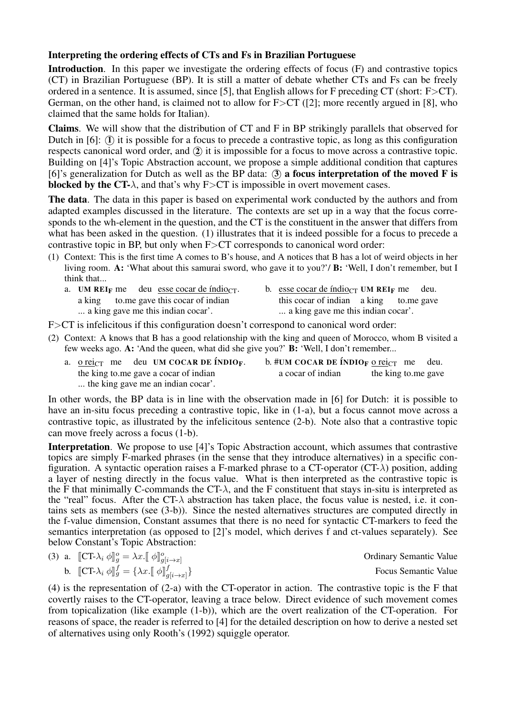## Interpreting the ordering effects of CTs and Fs in Brazilian Portuguese

Introduction. In this paper we investigate the ordering effects of focus (F) and contrastive topics (CT) in Brazilian Portuguese (BP). It is still a matter of debate whether CTs and Fs can be freely ordered in a sentence. It is assumed, since [5], that English allows for F preceding CT (short: F>CT). German, on the other hand, is claimed not to allow for  $F > CT$  ([2]; more recently argued in [8], who claimed that the same holds for Italian).

Claims. We will show that the distribution of CT and F in BP strikingly parallels that observed for Dutch in  $[6]$ :  $(I)$  it is possible for a focus to precede a contrastive topic, as long as this configuration respects canonical word order, and  $(2)$  it is impossible for a focus to move across a contrastive topic. Building on [4]'s Topic Abstraction account, we propose a simple additional condition that captures [6]'s generalization for Dutch as well as the BP data:  $(3)$  a focus interpretation of the moved F is blocked by the CT- $\lambda$ , and that's why F>CT is impossible in overt movement cases.

The data. The data in this paper is based on experimental work conducted by the authors and from adapted examples discussed in the literature. The contexts are set up in a way that the focus corresponds to the wh-element in the question, and the CT is the constituent in the answer that differs from what has been asked in the question. (1) illustrates that it is indeed possible for a focus to precede a contrastive topic in BP, but only when F>CT corresponds to canonical word order:

(1) Context: This is the first time A comes to B's house, and A notices that B has a lot of weird objects in her living room. A: 'What about this samurai sword, who gave it to you?'/ B: 'Well, I don't remember, but I think that...

|                                    |  |  | a. UM REIF me deu esse cocar de índio $_{CT}$ . |                                    | b. esse cocar de índio <sub>CT</sub> UM REI <sub>F</sub> me deu. |  |  |  |
|------------------------------------|--|--|-------------------------------------------------|------------------------------------|------------------------------------------------------------------|--|--|--|
|                                    |  |  | a king to me gave this cocar of indian          |                                    | this cocar of indian a king to me gave                           |  |  |  |
| a king gave me this indian cocar'. |  |  |                                                 | a king gave me this indian cocar'. |                                                                  |  |  |  |

F  $\geq$  is infelicitous if this configuration doesn't correspond to canonical word order:

- (2) Context: A knows that B has a good relationship with the king and queen of Morocco, whom B visited a few weeks ago. A: 'And the queen, what did she give you?' B: 'Well, I don't remember...
	- a. <u>o reic</u>t me the king to.me gave a cocar of indian deu UM COCAR DE ÍNDIO<sub>F</sub>. ... the king gave me an indian cocar'. b.  $#$ UM COCAR DE ÍNDIO<sub>F</sub> <u>o rei</u>ct me a cocar of indian the king to.me gave deu.

In other words, the BP data is in line with the observation made in [6] for Dutch: it is possible to have an in-situ focus preceding a contrastive topic, like in (1-a), but a focus cannot move across a contrastive topic, as illustrated by the infelicitous sentence (2-b). Note also that a contrastive topic can move freely across a focus (1-b).

Interpretation. We propose to use [4]'s Topic Abstraction account, which assumes that contrastive topics are simply F-marked phrases (in the sense that they introduce alternatives) in a specific configuration. A syntactic operation raises a F-marked phrase to a CT-operator (CT- $\lambda$ ) position, adding a layer of nesting directly in the focus value. What is then interpreted as the contrastive topic is the F that minimally C-commands the CT- $\lambda$ , and the F constituent that stays in-situ is interpreted as the "real" focus. After the CT- $\lambda$  abstraction has taken place, the focus value is nested, i.e. it contains sets as members (see (3-b)). Since the nested alternatives structures are computed directly in the f-value dimension, Constant assumes that there is no need for syntactic CT-markers to feed the semantics interpretation (as opposed to [2]'s model, which derives f and ct-values separately). See below Constant's Topic Abstraction:

| (3) a. $[\![\mathbf{CT}\cdot\lambda_i \phi]\!]_g^o = \lambda x . [\![\phi]\!]_{g[i\rightarrow x]}^o$    | <b>Ordinary Semantic Value</b> |
|---------------------------------------------------------------------------------------------------------|--------------------------------|
| b. $[\![\mathbf{CT}\text{-}\lambda_i \phi]\!]_g^f = \{\lambda x . [\![\phi]\!]_{g[i\rightarrow x]}^f\}$ | <b>Focus Semantic Value</b>    |

(4) is the representation of (2-a) with the CT-operator in action. The contrastive topic is the F that covertly raises to the CT-operator, leaving a trace below. Direct evidence of such movement comes from topicalization (like example (1-b)), which are the overt realization of the CT-operation. For reasons of space, the reader is referred to [4] for the detailed description on how to derive a nested set of alternatives using only Rooth's (1992) squiggle operator.